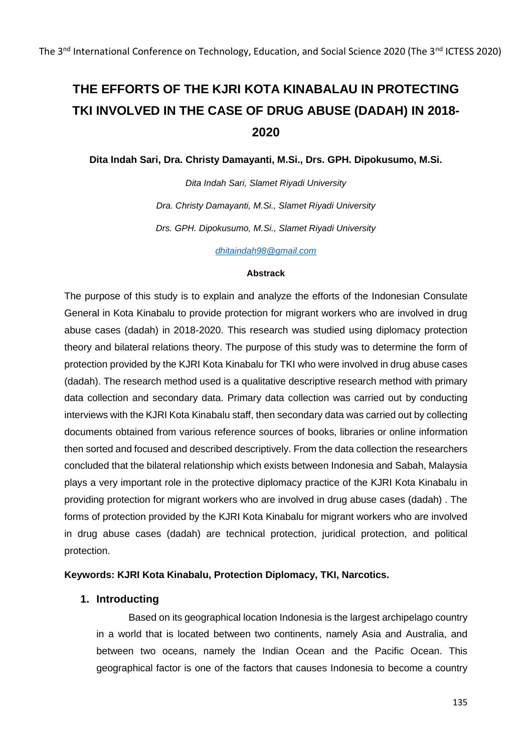# **THE EFFORTS OF THE KJRI KOTA KINABALAU IN PROTECTING TKI INVOLVED IN THE CASE OF DRUG ABUSE (DADAH) IN 2018- 2020**

**Dita Indah Sari, Dra. Christy Damayanti, M.Si., Drs. GPH. Dipokusumo, M.Si.**

*Dita Indah Sari, Slamet Riyadi University Dra. Christy Damayanti, M.Si., Slamet Riyadi University Drs. GPH. Dipokusumo, M.Si., Slamet Riyadi University*

*[dhitaindah98@gmail.com](mailto:dhitaindah98@gmail.com)*

#### **Abstrack**

The purpose of this study is to explain and analyze the efforts of the Indonesian Consulate General in Kota Kinabalu to provide protection for migrant workers who are involved in drug abuse cases (dadah) in 2018-2020. This research was studied using diplomacy protection theory and bilateral relations theory. The purpose of this study was to determine the form of protection provided by the KJRI Kota Kinabalu for TKI who were involved in drug abuse cases (dadah). The research method used is a qualitative descriptive research method with primary data collection and secondary data. Primary data collection was carried out by conducting interviews with the KJRI Kota Kinabalu staff, then secondary data was carried out by collecting documents obtained from various reference sources of books, libraries or online information then sorted and focused and described descriptively. From the data collection the researchers concluded that the bilateral relationship which exists between Indonesia and Sabah, Malaysia plays a very important role in the protective diplomacy practice of the KJRI Kota Kinabalu in providing protection for migrant workers who are involved in drug abuse cases (dadah) . The forms of protection provided by the KJRI Kota Kinabalu for migrant workers who are involved in drug abuse cases (dadah) are technical protection, juridical protection, and political protection.

# **Keywords: KJRI Kota Kinabalu, Protection Diplomacy, TKI, Narcotics.**

# **1. Introducting**

Based on its geographical location Indonesia is the largest archipelago country in a world that is located between two continents, namely Asia and Australia, and between two oceans, namely the Indian Ocean and the Pacific Ocean. This geographical factor is one of the factors that causes Indonesia to become a country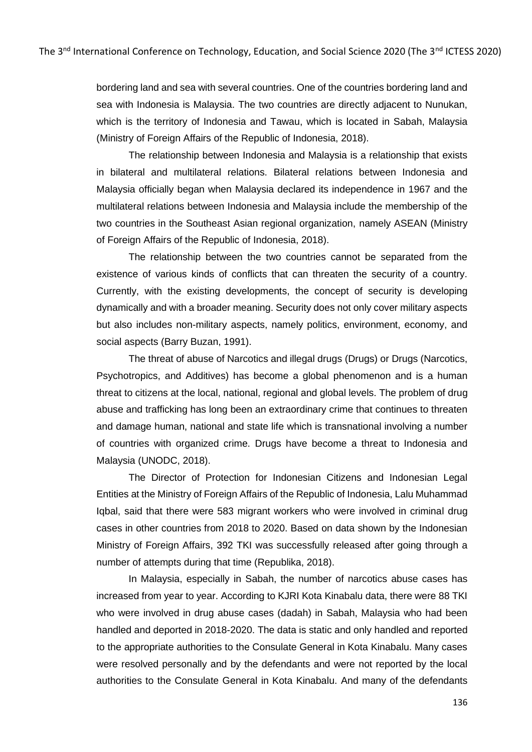bordering land and sea with several countries. One of the countries bordering land and sea with Indonesia is Malaysia. The two countries are directly adjacent to Nunukan, which is the territory of Indonesia and Tawau, which is located in Sabah, Malaysia (Ministry of Foreign Affairs of the Republic of Indonesia, 2018).

The relationship between Indonesia and Malaysia is a relationship that exists in bilateral and multilateral relations. Bilateral relations between Indonesia and Malaysia officially began when Malaysia declared its independence in 1967 and the multilateral relations between Indonesia and Malaysia include the membership of the two countries in the Southeast Asian regional organization, namely ASEAN (Ministry of Foreign Affairs of the Republic of Indonesia, 2018).

The relationship between the two countries cannot be separated from the existence of various kinds of conflicts that can threaten the security of a country. Currently, with the existing developments, the concept of security is developing dynamically and with a broader meaning. Security does not only cover military aspects but also includes non-military aspects, namely politics, environment, economy, and social aspects (Barry Buzan, 1991).

The threat of abuse of Narcotics and illegal drugs (Drugs) or Drugs (Narcotics, Psychotropics, and Additives) has become a global phenomenon and is a human threat to citizens at the local, national, regional and global levels. The problem of drug abuse and trafficking has long been an extraordinary crime that continues to threaten and damage human, national and state life which is transnational involving a number of countries with organized crime. Drugs have become a threat to Indonesia and Malaysia (UNODC, 2018).

The Director of Protection for Indonesian Citizens and Indonesian Legal Entities at the Ministry of Foreign Affairs of the Republic of Indonesia, Lalu Muhammad Iqbal, said that there were 583 migrant workers who were involved in criminal drug cases in other countries from 2018 to 2020. Based on data shown by the Indonesian Ministry of Foreign Affairs, 392 TKI was successfully released after going through a number of attempts during that time (Republika, 2018).

In Malaysia, especially in Sabah, the number of narcotics abuse cases has increased from year to year. According to KJRI Kota Kinabalu data, there were 88 TKI who were involved in drug abuse cases (dadah) in Sabah, Malaysia who had been handled and deported in 2018-2020. The data is static and only handled and reported to the appropriate authorities to the Consulate General in Kota Kinabalu. Many cases were resolved personally and by the defendants and were not reported by the local authorities to the Consulate General in Kota Kinabalu. And many of the defendants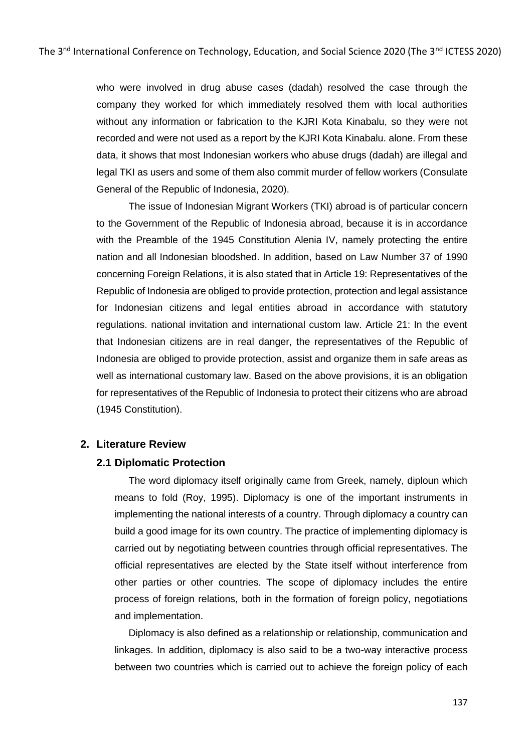who were involved in drug abuse cases (dadah) resolved the case through the company they worked for which immediately resolved them with local authorities without any information or fabrication to the KJRI Kota Kinabalu, so they were not recorded and were not used as a report by the KJRI Kota Kinabalu. alone. From these data, it shows that most Indonesian workers who abuse drugs (dadah) are illegal and legal TKI as users and some of them also commit murder of fellow workers (Consulate General of the Republic of Indonesia, 2020).

The issue of Indonesian Migrant Workers (TKI) abroad is of particular concern to the Government of the Republic of Indonesia abroad, because it is in accordance with the Preamble of the 1945 Constitution Alenia IV, namely protecting the entire nation and all Indonesian bloodshed. In addition, based on Law Number 37 of 1990 concerning Foreign Relations, it is also stated that in Article 19: Representatives of the Republic of Indonesia are obliged to provide protection, protection and legal assistance for Indonesian citizens and legal entities abroad in accordance with statutory regulations. national invitation and international custom law. Article 21: In the event that Indonesian citizens are in real danger, the representatives of the Republic of Indonesia are obliged to provide protection, assist and organize them in safe areas as well as international customary law. Based on the above provisions, it is an obligation for representatives of the Republic of Indonesia to protect their citizens who are abroad (1945 Constitution).

#### **2. Literature Review**

#### **2.1 Diplomatic Protection**

The word diplomacy itself originally came from Greek, namely, diploun which means to fold (Roy, 1995). Diplomacy is one of the important instruments in implementing the national interests of a country. Through diplomacy a country can build a good image for its own country. The practice of implementing diplomacy is carried out by negotiating between countries through official representatives. The official representatives are elected by the State itself without interference from other parties or other countries. The scope of diplomacy includes the entire process of foreign relations, both in the formation of foreign policy, negotiations and implementation.

Diplomacy is also defined as a relationship or relationship, communication and linkages. In addition, diplomacy is also said to be a two-way interactive process between two countries which is carried out to achieve the foreign policy of each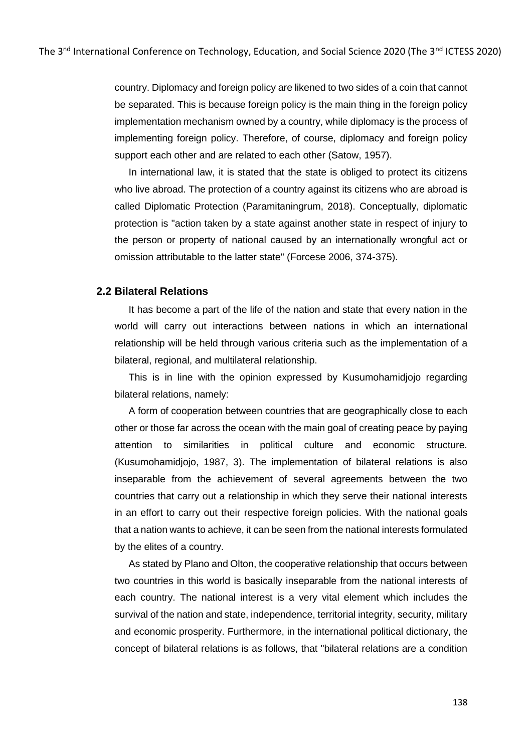country. Diplomacy and foreign policy are likened to two sides of a coin that cannot be separated. This is because foreign policy is the main thing in the foreign policy implementation mechanism owned by a country, while diplomacy is the process of implementing foreign policy. Therefore, of course, diplomacy and foreign policy support each other and are related to each other (Satow, 1957).

In international law, it is stated that the state is obliged to protect its citizens who live abroad. The protection of a country against its citizens who are abroad is called Diplomatic Protection (Paramitaningrum, 2018). Conceptually, diplomatic protection is "action taken by a state against another state in respect of injury to the person or property of national caused by an internationally wrongful act or omission attributable to the latter state" (Forcese 2006, 374-375).

# **2.2 Bilateral Relations**

It has become a part of the life of the nation and state that every nation in the world will carry out interactions between nations in which an international relationship will be held through various criteria such as the implementation of a bilateral, regional, and multilateral relationship.

This is in line with the opinion expressed by Kusumohamidjojo regarding bilateral relations, namely:

A form of cooperation between countries that are geographically close to each other or those far across the ocean with the main goal of creating peace by paying attention to similarities in political culture and economic structure. (Kusumohamidjojo, 1987, 3). The implementation of bilateral relations is also inseparable from the achievement of several agreements between the two countries that carry out a relationship in which they serve their national interests in an effort to carry out their respective foreign policies. With the national goals that a nation wants to achieve, it can be seen from the national interests formulated by the elites of a country.

As stated by Plano and Olton, the cooperative relationship that occurs between two countries in this world is basically inseparable from the national interests of each country. The national interest is a very vital element which includes the survival of the nation and state, independence, territorial integrity, security, military and economic prosperity. Furthermore, in the international political dictionary, the concept of bilateral relations is as follows, that "bilateral relations are a condition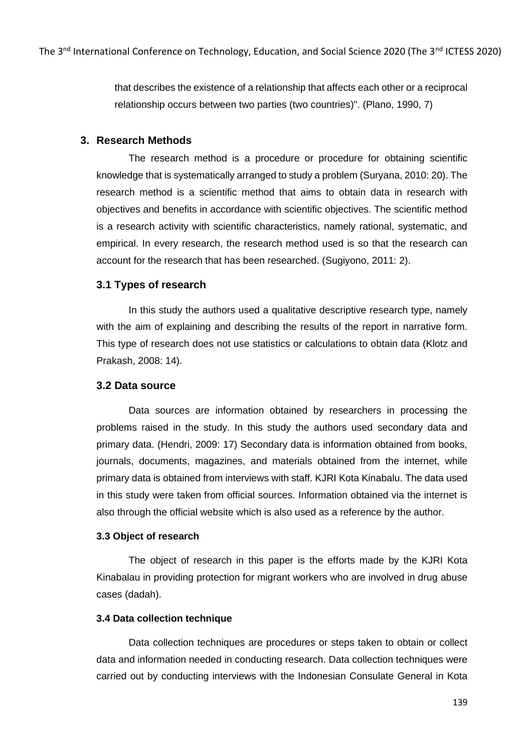that describes the existence of a relationship that affects each other or a reciprocal relationship occurs between two parties (two countries)". (Plano, 1990, 7)

# **3. Research Methods**

The research method is a procedure or procedure for obtaining scientific knowledge that is systematically arranged to study a problem (Suryana, 2010: 20). The research method is a scientific method that aims to obtain data in research with objectives and benefits in accordance with scientific objectives. The scientific method is a research activity with scientific characteristics, namely rational, systematic, and empirical. In every research, the research method used is so that the research can account for the research that has been researched. (Sugiyono, 2011: 2).

# **3.1 Types of research**

In this study the authors used a qualitative descriptive research type, namely with the aim of explaining and describing the results of the report in narrative form. This type of research does not use statistics or calculations to obtain data (Klotz and Prakash, 2008: 14).

# **3.2 Data source**

Data sources are information obtained by researchers in processing the problems raised in the study. In this study the authors used secondary data and primary data. (Hendri, 2009: 17) Secondary data is information obtained from books, journals, documents, magazines, and materials obtained from the internet, while primary data is obtained from interviews with staff. KJRI Kota Kinabalu. The data used in this study were taken from official sources. Information obtained via the internet is also through the official website which is also used as a reference by the author.

# **3.3 Object of research**

The object of research in this paper is the efforts made by the KJRI Kota Kinabalau in providing protection for migrant workers who are involved in drug abuse cases (dadah).

# **3.4 Data collection technique**

Data collection techniques are procedures or steps taken to obtain or collect data and information needed in conducting research. Data collection techniques were carried out by conducting interviews with the Indonesian Consulate General in Kota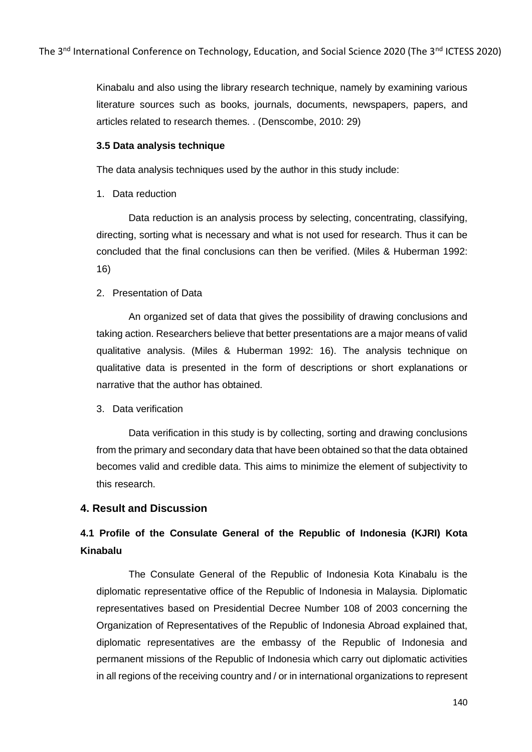Kinabalu and also using the library research technique, namely by examining various literature sources such as books, journals, documents, newspapers, papers, and articles related to research themes. . (Denscombe, 2010: 29)

#### **3.5 Data analysis technique**

The data analysis techniques used by the author in this study include:

1. Data reduction

Data reduction is an analysis process by selecting, concentrating, classifying, directing, sorting what is necessary and what is not used for research. Thus it can be concluded that the final conclusions can then be verified. (Miles & Huberman 1992: 16)

2. Presentation of Data

An organized set of data that gives the possibility of drawing conclusions and taking action. Researchers believe that better presentations are a major means of valid qualitative analysis. (Miles & Huberman 1992: 16). The analysis technique on qualitative data is presented in the form of descriptions or short explanations or narrative that the author has obtained.

3. Data verification

Data verification in this study is by collecting, sorting and drawing conclusions from the primary and secondary data that have been obtained so that the data obtained becomes valid and credible data. This aims to minimize the element of subjectivity to this research.

# **4. Result and Discussion**

# **4.1 Profile of the Consulate General of the Republic of Indonesia (KJRI) Kota Kinabalu**

The Consulate General of the Republic of Indonesia Kota Kinabalu is the diplomatic representative office of the Republic of Indonesia in Malaysia. Diplomatic representatives based on Presidential Decree Number 108 of 2003 concerning the Organization of Representatives of the Republic of Indonesia Abroad explained that, diplomatic representatives are the embassy of the Republic of Indonesia and permanent missions of the Republic of Indonesia which carry out diplomatic activities in all regions of the receiving country and / or in international organizations to represent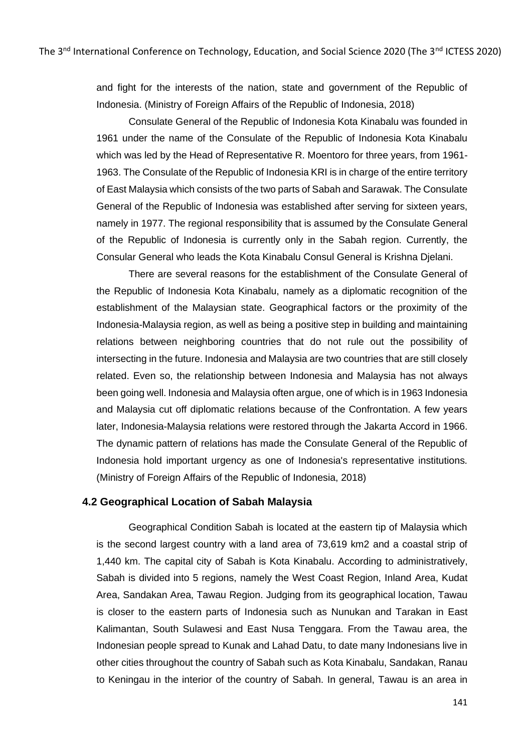and fight for the interests of the nation, state and government of the Republic of Indonesia. (Ministry of Foreign Affairs of the Republic of Indonesia, 2018)

Consulate General of the Republic of Indonesia Kota Kinabalu was founded in 1961 under the name of the Consulate of the Republic of Indonesia Kota Kinabalu which was led by the Head of Representative R. Moentoro for three years, from 1961- 1963. The Consulate of the Republic of Indonesia KRI is in charge of the entire territory of East Malaysia which consists of the two parts of Sabah and Sarawak. The Consulate General of the Republic of Indonesia was established after serving for sixteen years, namely in 1977. The regional responsibility that is assumed by the Consulate General of the Republic of Indonesia is currently only in the Sabah region. Currently, the Consular General who leads the Kota Kinabalu Consul General is Krishna Djelani.

There are several reasons for the establishment of the Consulate General of the Republic of Indonesia Kota Kinabalu, namely as a diplomatic recognition of the establishment of the Malaysian state. Geographical factors or the proximity of the Indonesia-Malaysia region, as well as being a positive step in building and maintaining relations between neighboring countries that do not rule out the possibility of intersecting in the future. Indonesia and Malaysia are two countries that are still closely related. Even so, the relationship between Indonesia and Malaysia has not always been going well. Indonesia and Malaysia often argue, one of which is in 1963 Indonesia and Malaysia cut off diplomatic relations because of the Confrontation. A few years later, Indonesia-Malaysia relations were restored through the Jakarta Accord in 1966. The dynamic pattern of relations has made the Consulate General of the Republic of Indonesia hold important urgency as one of Indonesia's representative institutions. (Ministry of Foreign Affairs of the Republic of Indonesia, 2018)

#### **4.2 Geographical Location of Sabah Malaysia**

Geographical Condition Sabah is located at the eastern tip of Malaysia which is the second largest country with a land area of 73,619 km2 and a coastal strip of 1,440 km. The capital city of Sabah is Kota Kinabalu. According to administratively, Sabah is divided into 5 regions, namely the West Coast Region, Inland Area, Kudat Area, Sandakan Area, Tawau Region. Judging from its geographical location, Tawau is closer to the eastern parts of Indonesia such as Nunukan and Tarakan in East Kalimantan, South Sulawesi and East Nusa Tenggara. From the Tawau area, the Indonesian people spread to Kunak and Lahad Datu, to date many Indonesians live in other cities throughout the country of Sabah such as Kota Kinabalu, Sandakan, Ranau to Keningau in the interior of the country of Sabah. In general, Tawau is an area in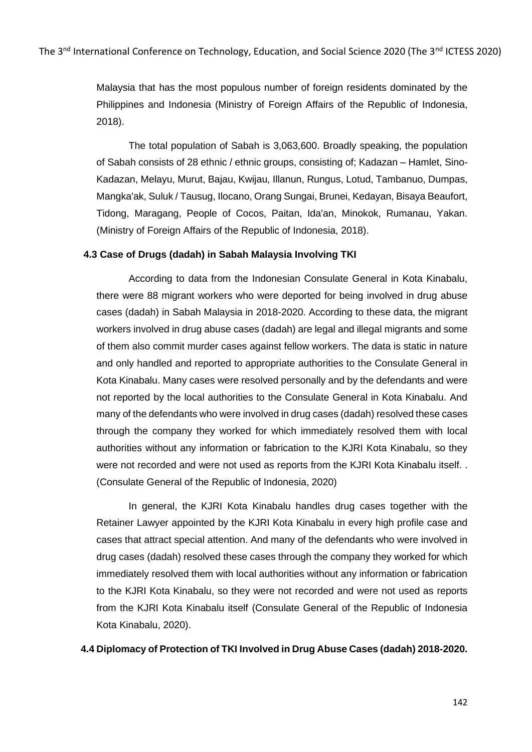Malaysia that has the most populous number of foreign residents dominated by the Philippines and Indonesia (Ministry of Foreign Affairs of the Republic of Indonesia, 2018).

The total population of Sabah is 3,063,600. Broadly speaking, the population of Sabah consists of 28 ethnic / ethnic groups, consisting of; Kadazan – Hamlet, Sino-Kadazan, Melayu, Murut, Bajau, Kwijau, Illanun, Rungus, Lotud, Tambanuo, Dumpas, Mangka'ak, Suluk / Tausug, Ilocano, Orang Sungai, Brunei, Kedayan, Bisaya Beaufort, Tidong, Maragang, People of Cocos, Paitan, Ida'an, Minokok, Rumanau, Yakan. (Ministry of Foreign Affairs of the Republic of Indonesia, 2018).

# **4.3 Case of Drugs (dadah) in Sabah Malaysia Involving TKI**

According to data from the Indonesian Consulate General in Kota Kinabalu, there were 88 migrant workers who were deported for being involved in drug abuse cases (dadah) in Sabah Malaysia in 2018-2020. According to these data, the migrant workers involved in drug abuse cases (dadah) are legal and illegal migrants and some of them also commit murder cases against fellow workers. The data is static in nature and only handled and reported to appropriate authorities to the Consulate General in Kota Kinabalu. Many cases were resolved personally and by the defendants and were not reported by the local authorities to the Consulate General in Kota Kinabalu. And many of the defendants who were involved in drug cases (dadah) resolved these cases through the company they worked for which immediately resolved them with local authorities without any information or fabrication to the KJRI Kota Kinabalu, so they were not recorded and were not used as reports from the KJRI Kota Kinabalu itself. . (Consulate General of the Republic of Indonesia, 2020)

In general, the KJRI Kota Kinabalu handles drug cases together with the Retainer Lawyer appointed by the KJRI Kota Kinabalu in every high profile case and cases that attract special attention. And many of the defendants who were involved in drug cases (dadah) resolved these cases through the company they worked for which immediately resolved them with local authorities without any information or fabrication to the KJRI Kota Kinabalu, so they were not recorded and were not used as reports from the KJRI Kota Kinabalu itself (Consulate General of the Republic of Indonesia Kota Kinabalu, 2020).

#### **4.4 Diplomacy of Protection of TKI Involved in Drug Abuse Cases (dadah) 2018-2020.**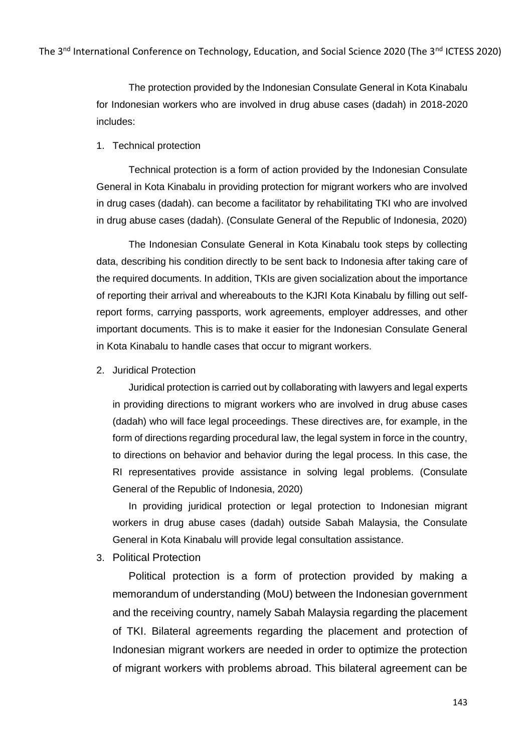The protection provided by the Indonesian Consulate General in Kota Kinabalu for Indonesian workers who are involved in drug abuse cases (dadah) in 2018-2020 includes:

#### 1. Technical protection

Technical protection is a form of action provided by the Indonesian Consulate General in Kota Kinabalu in providing protection for migrant workers who are involved in drug cases (dadah). can become a facilitator by rehabilitating TKI who are involved in drug abuse cases (dadah). (Consulate General of the Republic of Indonesia, 2020)

The Indonesian Consulate General in Kota Kinabalu took steps by collecting data, describing his condition directly to be sent back to Indonesia after taking care of the required documents. In addition, TKIs are given socialization about the importance of reporting their arrival and whereabouts to the KJRI Kota Kinabalu by filling out selfreport forms, carrying passports, work agreements, employer addresses, and other important documents. This is to make it easier for the Indonesian Consulate General in Kota Kinabalu to handle cases that occur to migrant workers.

2. Juridical Protection

Juridical protection is carried out by collaborating with lawyers and legal experts in providing directions to migrant workers who are involved in drug abuse cases (dadah) who will face legal proceedings. These directives are, for example, in the form of directions regarding procedural law, the legal system in force in the country, to directions on behavior and behavior during the legal process. In this case, the RI representatives provide assistance in solving legal problems. (Consulate General of the Republic of Indonesia, 2020)

In providing juridical protection or legal protection to Indonesian migrant workers in drug abuse cases (dadah) outside Sabah Malaysia, the Consulate General in Kota Kinabalu will provide legal consultation assistance.

3. Political Protection

Political protection is a form of protection provided by making a memorandum of understanding (MoU) between the Indonesian government and the receiving country, namely Sabah Malaysia regarding the placement of TKI. Bilateral agreements regarding the placement and protection of Indonesian migrant workers are needed in order to optimize the protection of migrant workers with problems abroad. This bilateral agreement can be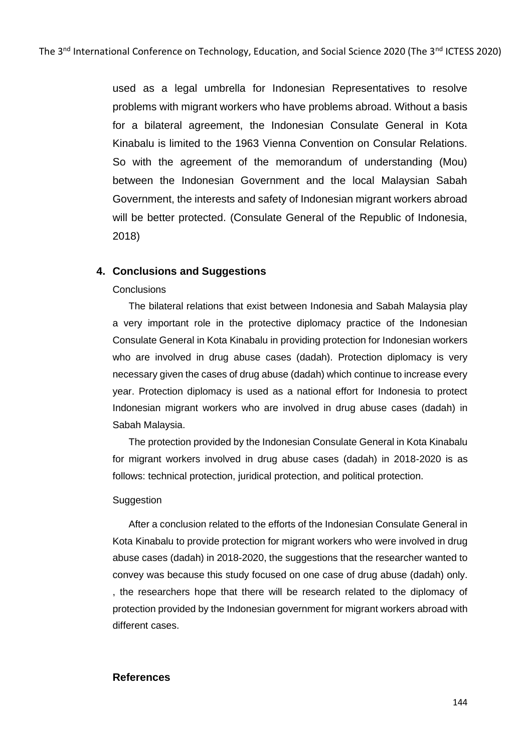used as a legal umbrella for Indonesian Representatives to resolve problems with migrant workers who have problems abroad. Without a basis for a bilateral agreement, the Indonesian Consulate General in Kota Kinabalu is limited to the 1963 Vienna Convention on Consular Relations. So with the agreement of the memorandum of understanding (Mou) between the Indonesian Government and the local Malaysian Sabah Government, the interests and safety of Indonesian migrant workers abroad will be better protected. (Consulate General of the Republic of Indonesia, 2018)

# **4. Conclusions and Suggestions**

#### **Conclusions**

The bilateral relations that exist between Indonesia and Sabah Malaysia play a very important role in the protective diplomacy practice of the Indonesian Consulate General in Kota Kinabalu in providing protection for Indonesian workers who are involved in drug abuse cases (dadah). Protection diplomacy is very necessary given the cases of drug abuse (dadah) which continue to increase every year. Protection diplomacy is used as a national effort for Indonesia to protect Indonesian migrant workers who are involved in drug abuse cases (dadah) in Sabah Malaysia.

The protection provided by the Indonesian Consulate General in Kota Kinabalu for migrant workers involved in drug abuse cases (dadah) in 2018-2020 is as follows: technical protection, juridical protection, and political protection.

#### Suggestion

After a conclusion related to the efforts of the Indonesian Consulate General in Kota Kinabalu to provide protection for migrant workers who were involved in drug abuse cases (dadah) in 2018-2020, the suggestions that the researcher wanted to convey was because this study focused on one case of drug abuse (dadah) only. , the researchers hope that there will be research related to the diplomacy of protection provided by the Indonesian government for migrant workers abroad with different cases.

# **References**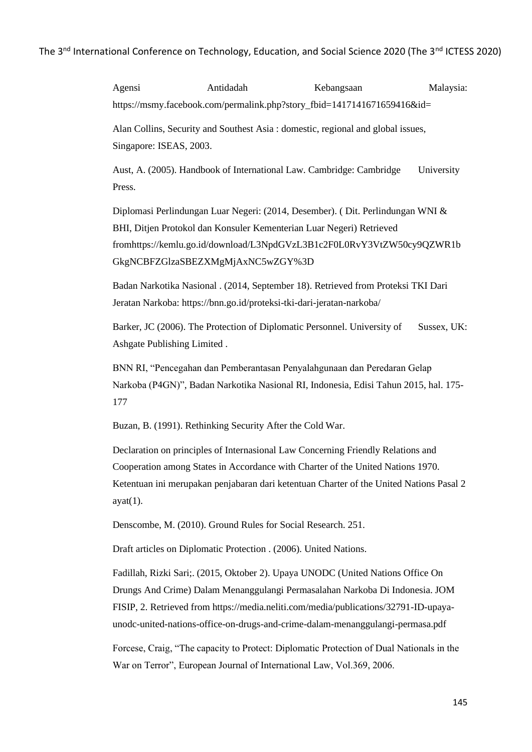Agensi Antidadah Kebangsaan Malaysia: https://msmy.facebook.com/permalink.php?story\_fbid=1417141671659416&id=

Alan Collins, Security and Southest Asia : domestic, regional and global issues, Singapore: ISEAS, 2003.

Aust, A. (2005). Handbook of International Law. Cambridge: Cambridge University Press.

Diplomasi Perlindungan Luar Negeri: (2014, Desember). ( Dit. Perlindungan WNI & BHI, Ditjen Protokol dan Konsuler Kementerian Luar Negeri) Retrieved fromhttps://kemlu.go.id/download/L3NpdGVzL3B1c2F0L0RvY3VtZW50cy9QZWR1b GkgNCBFZGlzaSBEZXMgMjAxNC5wZGY%3D

Badan Narkotika Nasional . (2014, September 18). Retrieved from Proteksi TKI Dari Jeratan Narkoba: https://bnn.go.id/proteksi-tki-dari-jeratan-narkoba/

Barker, JC (2006). The Protection of Diplomatic Personnel. University of Sussex, UK: Ashgate Publishing Limited .

BNN RI, "Pencegahan dan Pemberantasan Penyalahgunaan dan Peredaran Gelap Narkoba (P4GN)", Badan Narkotika Nasional RI, Indonesia, Edisi Tahun 2015, hal. 175- 177

Buzan, B. (1991). Rethinking Security After the Cold War.

Declaration on principles of Internasional Law Concerning Friendly Relations and Cooperation among States in Accordance with Charter of the United Nations 1970. Ketentuan ini merupakan penjabaran dari ketentuan Charter of the United Nations Pasal 2  $ayat(1)$ .

Denscombe, M. (2010). Ground Rules for Social Research. 251.

Draft articles on Diplomatic Protection . (2006). United Nations.

Fadillah, Rizki Sari;. (2015, Oktober 2). Upaya UNODC (United Nations Office On Drungs And Crime) Dalam Menanggulangi Permasalahan Narkoba Di Indonesia. JOM FISIP, 2. Retrieved from https://media.neliti.com/media/publications/32791-ID-upayaunodc-united-nations-office-on-drugs-and-crime-dalam-menanggulangi-permasa.pdf

Forcese, Craig, "The capacity to Protect: Diplomatic Protection of Dual Nationals in the War on Terror", European Journal of International Law, Vol.369, 2006.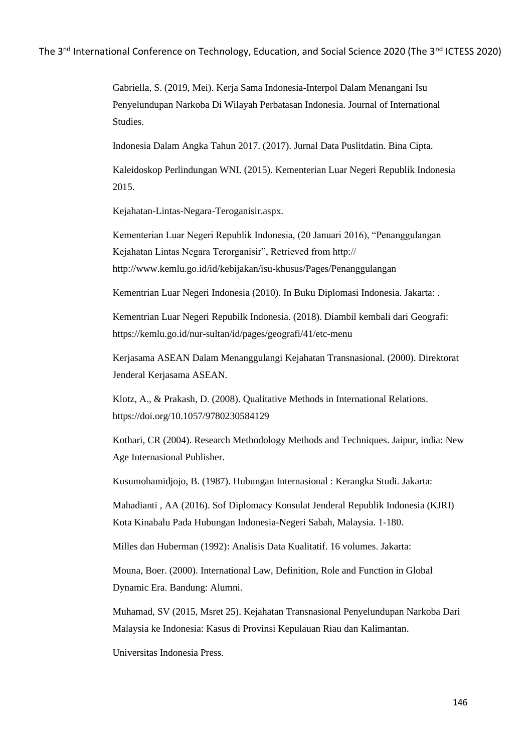Gabriella, S. (2019, Mei). Kerja Sama Indonesia-Interpol Dalam Menangani Isu Penyelundupan Narkoba Di Wilayah Perbatasan Indonesia. Journal of International Studies.

Indonesia Dalam Angka Tahun 2017. (2017). Jurnal Data Puslitdatin. Bina Cipta.

Kaleidoskop Perlindungan WNI. (2015). Kementerian Luar Negeri Republik Indonesia 2015.

Kejahatan-Lintas-Negara-Teroganisir.aspx.

Kementerian Luar Negeri Republik Indonesia, (20 Januari 2016), "Penanggulangan Kejahatan Lintas Negara Terorganisir", Retrieved from http:// http://www.kemlu.go.id/id/kebijakan/isu-khusus/Pages/Penanggulangan

Kementrian Luar Negeri Indonesia (2010). In Buku Diplomasi Indonesia. Jakarta: .

Kementrian Luar Negeri Repubilk Indonesia. (2018). Diambil kembali dari Geografi: https://kemlu.go.id/nur-sultan/id/pages/geografi/41/etc-menu

Kerjasama ASEAN Dalam Menanggulangi Kejahatan Transnasional. (2000). Direktorat Jenderal Kerjasama ASEAN.

Klotz, A., & Prakash, D. (2008). Qualitative Methods in International Relations. https://doi.org/10.1057/9780230584129

Kothari, CR (2004). Research Methodology Methods and Techniques. Jaipur, india: New Age Internasional Publisher.

Kusumohamidjojo, B. (1987). Hubungan Internasional : Kerangka Studi. Jakarta:

Mahadianti , AA (2016). Sof Diplomacy Konsulat Jenderal Republik Indonesia (KJRI) Kota Kinabalu Pada Hubungan Indonesia-Negeri Sabah, Malaysia. 1-180.

Milles dan Huberman (1992): Analisis Data Kualitatif. 16 volumes. Jakarta:

Mouna, Boer. (2000). International Law, Definition, Role and Function in Global Dynamic Era. Bandung: Alumni.

Muhamad, SV (2015, Msret 25). Kejahatan Transnasional Penyelundupan Narkoba Dari Malaysia ke Indonesia: Kasus di Provinsi Kepulauan Riau dan Kalimantan.

Universitas Indonesia Press.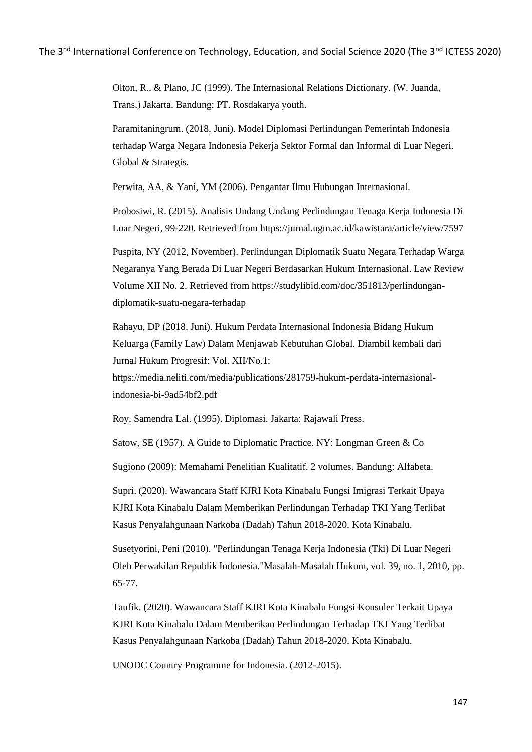Olton, R., & Plano, JC (1999). The Internasional Relations Dictionary. (W. Juanda, Trans.) Jakarta. Bandung: PT. Rosdakarya youth.

Paramitaningrum. (2018, Juni). Model Diplomasi Perlindungan Pemerintah Indonesia terhadap Warga Negara Indonesia Pekerja Sektor Formal dan Informal di Luar Negeri. Global & Strategis.

Perwita, AA, & Yani, YM (2006). Pengantar Ilmu Hubungan Internasional.

Probosiwi, R. (2015). Analisis Undang Undang Perlindungan Tenaga Kerja Indonesia Di Luar Negeri, 99-220. Retrieved from https://jurnal.ugm.ac.id/kawistara/article/view/7597

Puspita, NY (2012, November). Perlindungan Diplomatik Suatu Negara Terhadap Warga Negaranya Yang Berada Di Luar Negeri Berdasarkan Hukum Internasional. Law Review Volume XII No. 2. Retrieved from https://studylibid.com/doc/351813/perlindungandiplomatik-suatu-negara-terhadap

Rahayu, DP (2018, Juni). Hukum Perdata Internasional Indonesia Bidang Hukum Keluarga (Family Law) Dalam Menjawab Kebutuhan Global. Diambil kembali dari Jurnal Hukum Progresif: Vol. XII/No.1:

https://media.neliti.com/media/publications/281759-hukum-perdata-internasionalindonesia-bi-9ad54bf2.pdf

Roy, Samendra Lal. (1995). Diplomasi. Jakarta: Rajawali Press.

Satow, SE (1957). A Guide to Diplomatic Practice. NY: Longman Green & Co

Sugiono (2009): Memahami Penelitian Kualitatif. 2 volumes. Bandung: Alfabeta.

Supri. (2020). Wawancara Staff KJRI Kota Kinabalu Fungsi Imigrasi Terkait Upaya KJRI Kota Kinabalu Dalam Memberikan Perlindungan Terhadap TKI Yang Terlibat Kasus Penyalahgunaan Narkoba (Dadah) Tahun 2018-2020. Kota Kinabalu.

Susetyorini, Peni (2010). "Perlindungan Tenaga Kerja Indonesia (Tki) Di Luar Negeri Oleh Perwakilan Republik Indonesia."Masalah-Masalah Hukum, vol. 39, no. 1, 2010, pp. 65-77.

Taufik. (2020). Wawancara Staff KJRI Kota Kinabalu Fungsi Konsuler Terkait Upaya KJRI Kota Kinabalu Dalam Memberikan Perlindungan Terhadap TKI Yang Terlibat Kasus Penyalahgunaan Narkoba (Dadah) Tahun 2018-2020. Kota Kinabalu.

UNODC Country Programme for Indonesia. (2012-2015).